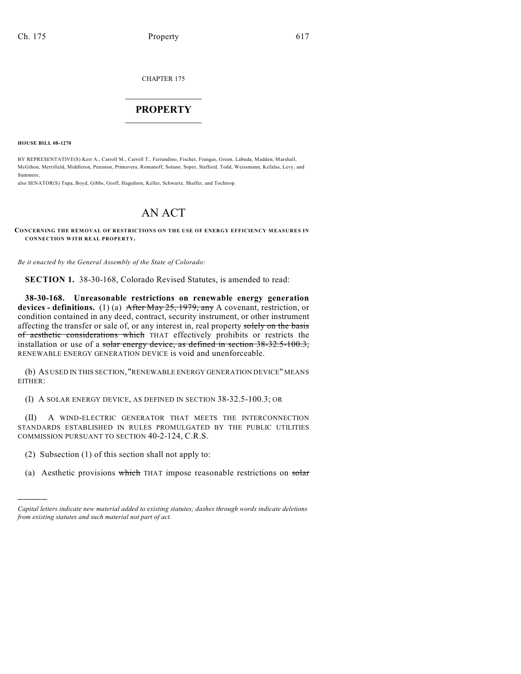CHAPTER 175

## $\mathcal{L}_\text{max}$  . The set of the set of the set of the set of the set of the set of the set of the set of the set of the set of the set of the set of the set of the set of the set of the set of the set of the set of the set **PROPERTY**  $\_$   $\_$   $\_$   $\_$   $\_$   $\_$   $\_$   $\_$   $\_$

**HOUSE BILL 08-1270**

)))))

BY REPRESENTATIVE(S) Kerr A., Carroll M., Carroll T., Ferrandino, Fischer, Frangas, Green, Labuda, Madden, Marshall, McGihon, Merrifield, Middleton, Peniston, Primavera, Romanoff, Solano, Soper, Stafford, Todd, Weissmann, Kefalas, Levy, and Summers;

also SENATOR(S) Tupa, Boyd, Gibbs, Groff, Hagedorn, Keller, Schwartz, Shaffer, and Tochtrop.

## AN ACT

**CONCERNING THE REMOVAL OF RESTRICTIONS ON THE USE OF ENERGY EFFICIENCY MEASURES IN CONNECTION WITH REAL PROPERTY.**

*Be it enacted by the General Assembly of the State of Colorado:*

**SECTION 1.** 38-30-168, Colorado Revised Statutes, is amended to read:

**38-30-168. Unreasonable restrictions on renewable energy generation devices - definitions.** (1) (a) After May 25, 1979, any A covenant, restriction, or condition contained in any deed, contract, security instrument, or other instrument affecting the transfer or sale of, or any interest in, real property solely on the basis of aesthetic considerations which THAT effectively prohibits or restricts the installation or use of a solar energy device, as defined in section  $38-32.5-100.3$ , RENEWABLE ENERGY GENERATION DEVICE is void and unenforceable.

(b) AS USED IN THIS SECTION, "RENEWABLE ENERGY GENERATION DEVICE" MEANS EITHER:

(I) A SOLAR ENERGY DEVICE, AS DEFINED IN SECTION 38-32.5-100.3; OR

(II) A WIND-ELECTRIC GENERATOR THAT MEETS THE INTERCONNECTION STANDARDS ESTABLISHED IN RULES PROMULGATED BY THE PUBLIC UTILITIES COMMISSION PURSUANT TO SECTION 40-2-124, C.R.S.

- (2) Subsection (1) of this section shall not apply to:
- (a) Aesthetic provisions which THAT impose reasonable restrictions on solar

*Capital letters indicate new material added to existing statutes; dashes through words indicate deletions from existing statutes and such material not part of act.*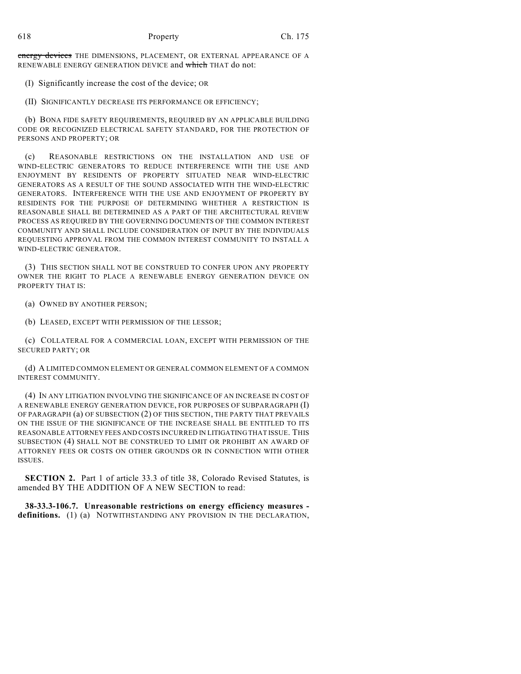energy devices THE DIMENSIONS, PLACEMENT, OR EXTERNAL APPEARANCE OF A RENEWABLE ENERGY GENERATION DEVICE and which THAT do not:

(I) Significantly increase the cost of the device; OR

(II) SIGNIFICANTLY DECREASE ITS PERFORMANCE OR EFFICIENCY;

(b) BONA FIDE SAFETY REQUIREMENTS, REQUIRED BY AN APPLICABLE BUILDING CODE OR RECOGNIZED ELECTRICAL SAFETY STANDARD, FOR THE PROTECTION OF PERSONS AND PROPERTY; OR

(c) REASONABLE RESTRICTIONS ON THE INSTALLATION AND USE OF WIND-ELECTRIC GENERATORS TO REDUCE INTERFERENCE WITH THE USE AND ENJOYMENT BY RESIDENTS OF PROPERTY SITUATED NEAR WIND-ELECTRIC GENERATORS AS A RESULT OF THE SOUND ASSOCIATED WITH THE WIND-ELECTRIC GENERATORS. INTERFERENCE WITH THE USE AND ENJOYMENT OF PROPERTY BY RESIDENTS FOR THE PURPOSE OF DETERMINING WHETHER A RESTRICTION IS REASONABLE SHALL BE DETERMINED AS A PART OF THE ARCHITECTURAL REVIEW PROCESS AS REQUIRED BY THE GOVERNING DOCUMENTS OF THE COMMON INTEREST COMMUNITY AND SHALL INCLUDE CONSIDERATION OF INPUT BY THE INDIVIDUALS REQUESTING APPROVAL FROM THE COMMON INTEREST COMMUNITY TO INSTALL A WIND-ELECTRIC GENERATOR.

(3) THIS SECTION SHALL NOT BE CONSTRUED TO CONFER UPON ANY PROPERTY OWNER THE RIGHT TO PLACE A RENEWABLE ENERGY GENERATION DEVICE ON PROPERTY THAT IS:

(a) OWNED BY ANOTHER PERSON;

(b) LEASED, EXCEPT WITH PERMISSION OF THE LESSOR;

(c) COLLATERAL FOR A COMMERCIAL LOAN, EXCEPT WITH PERMISSION OF THE SECURED PARTY; OR

(d) A LIMITED COMMON ELEMENT OR GENERAL COMMON ELEMENT OF A COMMON INTEREST COMMUNITY.

(4) IN ANY LITIGATION INVOLVING THE SIGNIFICANCE OF AN INCREASE IN COST OF A RENEWABLE ENERGY GENERATION DEVICE, FOR PURPOSES OF SUBPARAGRAPH (I) OF PARAGRAPH (a) OF SUBSECTION (2) OF THIS SECTION, THE PARTY THAT PREVAILS ON THE ISSUE OF THE SIGNIFICANCE OF THE INCREASE SHALL BE ENTITLED TO ITS REASONABLE ATTORNEY FEES AND COSTS INCURRED IN LITIGATING THAT ISSUE. THIS SUBSECTION (4) SHALL NOT BE CONSTRUED TO LIMIT OR PROHIBIT AN AWARD OF ATTORNEY FEES OR COSTS ON OTHER GROUNDS OR IN CONNECTION WITH OTHER ISSUES.

**SECTION 2.** Part 1 of article 33.3 of title 38, Colorado Revised Statutes, is amended BY THE ADDITION OF A NEW SECTION to read:

**38-33.3-106.7. Unreasonable restrictions on energy efficiency measures definitions.** (1) (a) NOTWITHSTANDING ANY PROVISION IN THE DECLARATION,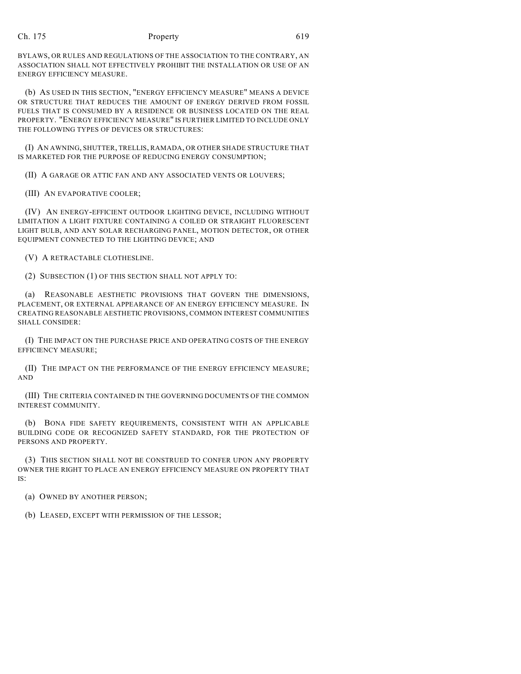## Ch. 175 **Property Property** 619

BYLAWS, OR RULES AND REGULATIONS OF THE ASSOCIATION TO THE CONTRARY, AN ASSOCIATION SHALL NOT EFFECTIVELY PROHIBIT THE INSTALLATION OR USE OF AN ENERGY EFFICIENCY MEASURE.

(b) AS USED IN THIS SECTION, "ENERGY EFFICIENCY MEASURE" MEANS A DEVICE OR STRUCTURE THAT REDUCES THE AMOUNT OF ENERGY DERIVED FROM FOSSIL FUELS THAT IS CONSUMED BY A RESIDENCE OR BUSINESS LOCATED ON THE REAL PROPERTY. "ENERGY EFFICIENCY MEASURE" IS FURTHER LIMITED TO INCLUDE ONLY THE FOLLOWING TYPES OF DEVICES OR STRUCTURES:

(I) AN AWNING, SHUTTER, TRELLIS, RAMADA, OR OTHER SHADE STRUCTURE THAT IS MARKETED FOR THE PURPOSE OF REDUCING ENERGY CONSUMPTION;

(II) A GARAGE OR ATTIC FAN AND ANY ASSOCIATED VENTS OR LOUVERS;

(III) AN EVAPORATIVE COOLER;

(IV) AN ENERGY-EFFICIENT OUTDOOR LIGHTING DEVICE, INCLUDING WITHOUT LIMITATION A LIGHT FIXTURE CONTAINING A COILED OR STRAIGHT FLUORESCENT LIGHT BULB, AND ANY SOLAR RECHARGING PANEL, MOTION DETECTOR, OR OTHER EQUIPMENT CONNECTED TO THE LIGHTING DEVICE; AND

(V) A RETRACTABLE CLOTHESLINE.

(2) SUBSECTION (1) OF THIS SECTION SHALL NOT APPLY TO:

(a) REASONABLE AESTHETIC PROVISIONS THAT GOVERN THE DIMENSIONS, PLACEMENT, OR EXTERNAL APPEARANCE OF AN ENERGY EFFICIENCY MEASURE. IN CREATING REASONABLE AESTHETIC PROVISIONS, COMMON INTEREST COMMUNITIES SHALL CONSIDER:

(I) THE IMPACT ON THE PURCHASE PRICE AND OPERATING COSTS OF THE ENERGY EFFICIENCY MEASURE;

(II) THE IMPACT ON THE PERFORMANCE OF THE ENERGY EFFICIENCY MEASURE; AND

(III) THE CRITERIA CONTAINED IN THE GOVERNING DOCUMENTS OF THE COMMON INTEREST COMMUNITY.

(b) BONA FIDE SAFETY REQUIREMENTS, CONSISTENT WITH AN APPLICABLE BUILDING CODE OR RECOGNIZED SAFETY STANDARD, FOR THE PROTECTION OF PERSONS AND PROPERTY.

(3) THIS SECTION SHALL NOT BE CONSTRUED TO CONFER UPON ANY PROPERTY OWNER THE RIGHT TO PLACE AN ENERGY EFFICIENCY MEASURE ON PROPERTY THAT IS:

(a) OWNED BY ANOTHER PERSON;

(b) LEASED, EXCEPT WITH PERMISSION OF THE LESSOR;